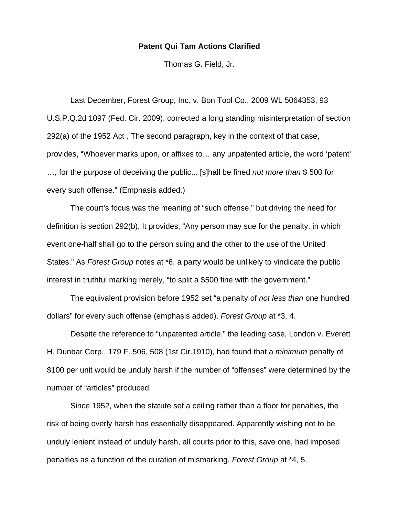## **Patent Qui Tam Actions Clarified**

Thomas G. Field, Jr.

 Last December, Forest Group, Inc. v. Bon Tool Co., 2009 WL 5064353, 93 U.S.P.Q.2d 1097 (Fed. Cir. 2009), corrected a long standing misinterpretation of section 292(a) of the 1952 Act . The second paragraph, key in the context of that case, provides, "Whoever marks upon, or affixes to… any unpatented article, the word 'patent' …, for the purpose of deceiving the public... [s]hall be fined *not more than* \$ 500 for every such offense." (Emphasis added.)

 The court's focus was the meaning of "such offense," but driving the need for definition is section 292(b). It provides, "Any person may sue for the penalty, in which event one-half shall go to the person suing and the other to the use of the United States." As *Forest Group* notes at \*6, a party would be unlikely to vindicate the public interest in truthful marking merely, "to split a \$500 fine with the government."

 The equivalent provision before 1952 set "a penalty of *not less than* one hundred dollars" for every such offense (emphasis added). *Forest Group* at \*3, 4.

 Despite the reference to "unpatented article," the leading case, London v. Everett H. Dunbar Corp., 179 F. 506, 508 (1st Cir.1910), had found that a *minimum* penalty of \$100 per unit would be unduly harsh if the number of "offenses" were determined by the number of "articles" produced.

 Since 1952, when the statute set a ceiling rather than a floor for penalties, the risk of being overly harsh has essentially disappeared. Apparently wishing not to be unduly lenient instead of unduly harsh, all courts prior to this, save one, had imposed penalties as a function of the duration of mismarking. *Forest Group* at \*4, 5.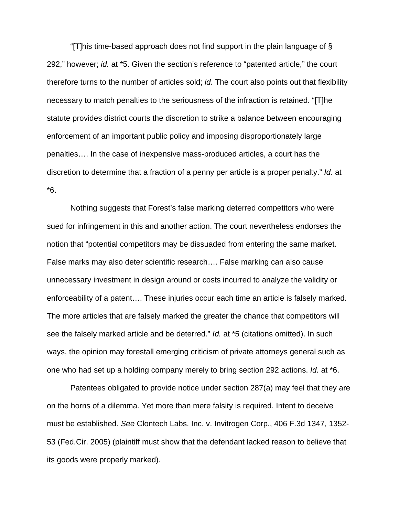"[T]his time-based approach does not find support in the plain language of § 292," however; *id.* at \*5. Given the section's reference to "patented article," the court therefore turns to the number of articles sold; *id.* The court also points out that flexibility necessary to match penalties to the seriousness of the infraction is retained. "[T]he statute provides district courts the discretion to strike a balance between encouraging enforcement of an important public policy and imposing disproportionately large penalties…. In the case of inexpensive mass-produced articles, a court has the discretion to determine that a fraction of a penny per article is a proper penalty." *Id.* at \*6.

 Nothing suggests that Forest's false marking deterred competitors who were sued for infringement in this and another action. The court nevertheless endorses the notion that "potential competitors may be dissuaded from entering the same market. False marks may also deter scientific research…. False marking can also cause unnecessary investment in design around or costs incurred to analyze the validity or enforceability of a patent…. These injuries occur each time an article is falsely marked. The more articles that are falsely marked the greater the chance that competitors will see the falsely marked article and be deterred." *Id.* at \*5 (citations omitted). In such ways, the opinion may forestall emerging criticism of private attorneys general such as one who had set up a holding company merely to bring section 292 actions. *Id.* at \*6.

 Patentees obligated to provide notice under section 287(a) may feel that they are on the horns of a dilemma. Yet more than mere falsity is required. Intent to deceive must be established. *See* Clontech Labs. Inc. v. Invitrogen Corp., 406 F.3d 1347, 1352- 53 (Fed.Cir. 2005) (plaintiff must show that the defendant lacked reason to believe that its goods were properly marked).